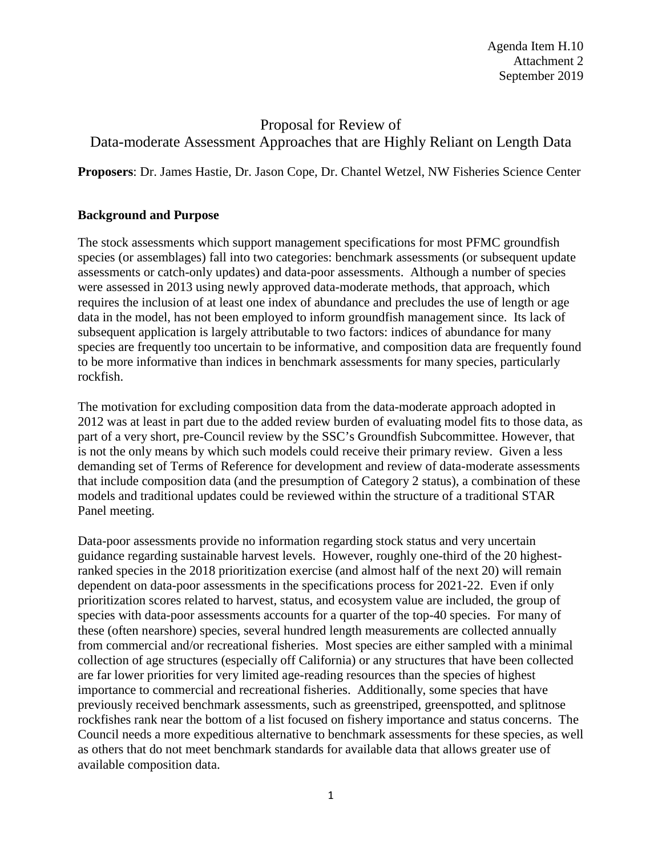Agenda Item H.10 Attachment 2 September 2019

## Proposal for Review of Data-moderate Assessment Approaches that are Highly Reliant on Length Data

**Proposers**: Dr. James Hastie, Dr. Jason Cope, Dr. Chantel Wetzel, NW Fisheries Science Center

## **Background and Purpose**

The stock assessments which support management specifications for most PFMC groundfish species (or assemblages) fall into two categories: benchmark assessments (or subsequent update assessments or catch-only updates) and data-poor assessments. Although a number of species were assessed in 2013 using newly approved data-moderate methods, that approach, which requires the inclusion of at least one index of abundance and precludes the use of length or age data in the model, has not been employed to inform groundfish management since. Its lack of subsequent application is largely attributable to two factors: indices of abundance for many species are frequently too uncertain to be informative, and composition data are frequently found to be more informative than indices in benchmark assessments for many species, particularly rockfish.

The motivation for excluding composition data from the data-moderate approach adopted in 2012 was at least in part due to the added review burden of evaluating model fits to those data, as part of a very short, pre-Council review by the SSC's Groundfish Subcommittee. However, that is not the only means by which such models could receive their primary review. Given a less demanding set of Terms of Reference for development and review of data-moderate assessments that include composition data (and the presumption of Category 2 status), a combination of these models and traditional updates could be reviewed within the structure of a traditional STAR Panel meeting.

Data-poor assessments provide no information regarding stock status and very uncertain guidance regarding sustainable harvest levels. However, roughly one-third of the 20 highestranked species in the 2018 prioritization exercise (and almost half of the next 20) will remain dependent on data-poor assessments in the specifications process for 2021-22. Even if only prioritization scores related to harvest, status, and ecosystem value are included, the group of species with data-poor assessments accounts for a quarter of the top-40 species. For many of these (often nearshore) species, several hundred length measurements are collected annually from commercial and/or recreational fisheries. Most species are either sampled with a minimal collection of age structures (especially off California) or any structures that have been collected are far lower priorities for very limited age-reading resources than the species of highest importance to commercial and recreational fisheries. Additionally, some species that have previously received benchmark assessments, such as greenstriped, greenspotted, and splitnose rockfishes rank near the bottom of a list focused on fishery importance and status concerns. The Council needs a more expeditious alternative to benchmark assessments for these species, as well as others that do not meet benchmark standards for available data that allows greater use of available composition data.